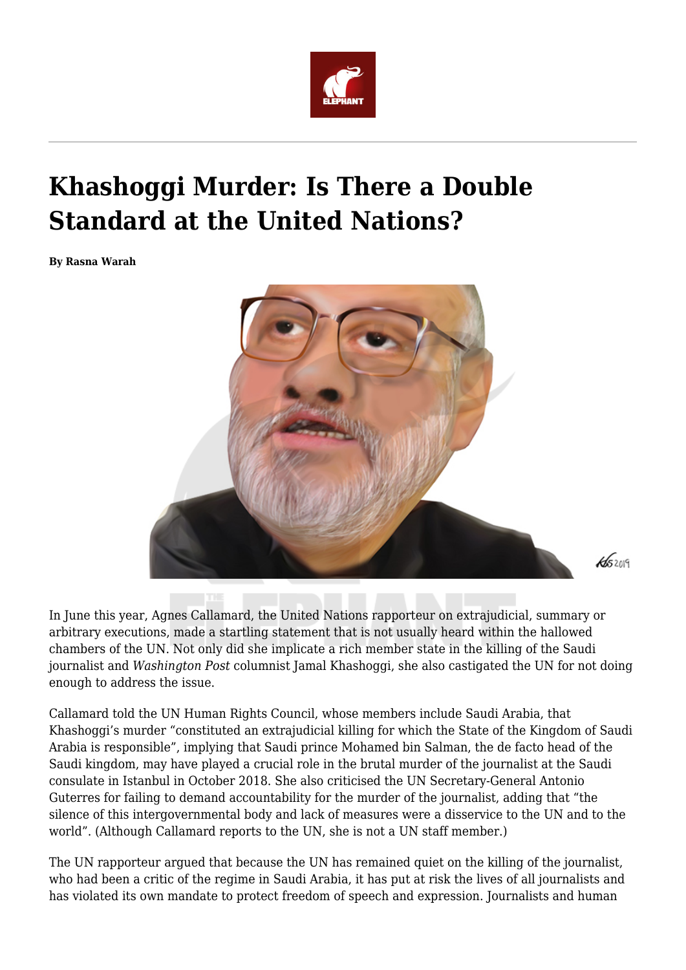

## **Khashoggi Murder: Is There a Double Standard at the United Nations?**

**By Rasna Warah**



In June this year, Agnes Callamard, the United Nations rapporteur on extrajudicial, summary or arbitrary executions, made a startling statement that is not usually heard within the hallowed chambers of the UN. Not only did she implicate a rich member state in the killing of the Saudi journalist and *Washington Post* columnist Jamal Khashoggi, she also castigated the UN for not doing enough to address the issue.

Callamard told the UN Human Rights Council, whose members include Saudi Arabia, that Khashoggi's murder "constituted an extrajudicial killing for which the State of the Kingdom of Saudi Arabia is responsible", implying that Saudi prince Mohamed bin Salman, the de facto head of the Saudi kingdom, may have played a crucial role in the brutal murder of the journalist at the Saudi consulate in Istanbul in October 2018. She also criticised the UN Secretary-General Antonio Guterres for failing to demand accountability for the murder of the journalist, adding that "the silence of this intergovernmental body and lack of measures were a disservice to the UN and to the world". (Although Callamard reports to the UN, she is not a UN staff member.)

The UN rapporteur argued that because the UN has remained quiet on the killing of the journalist, who had been a critic of the regime in Saudi Arabia, it has put at risk the lives of all journalists and has violated its own mandate to protect freedom of speech and expression. Journalists and human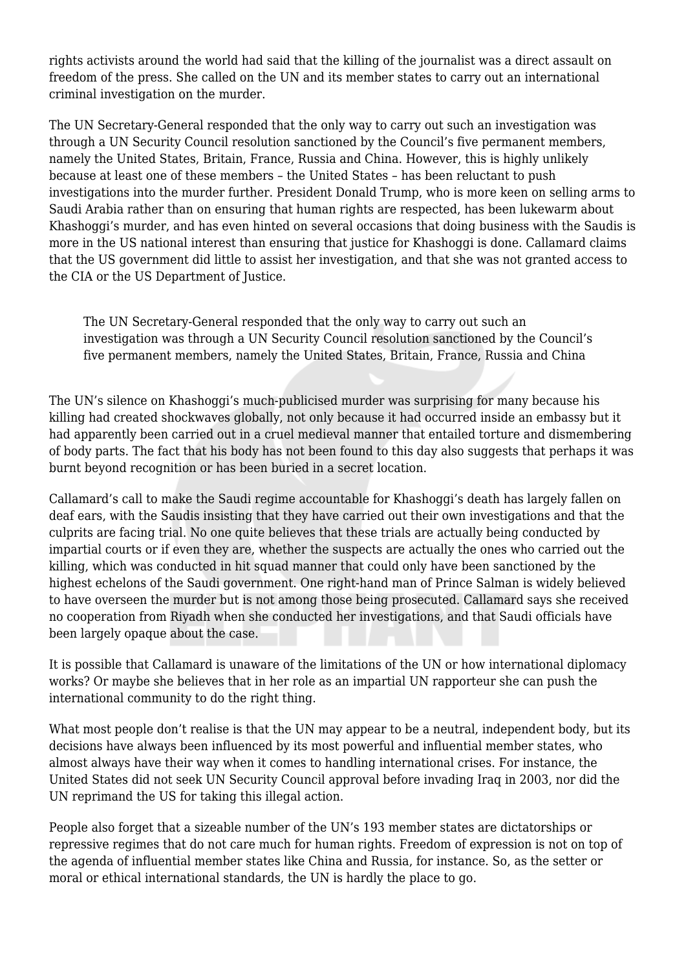rights activists around the world had said that the killing of the journalist was a direct assault on freedom of the press. She called on the UN and its member states to carry out an international criminal investigation on the murder.

The UN Secretary-General responded that the only way to carry out such an investigation was through a UN Security Council resolution sanctioned by the Council's five permanent members, namely the United States, Britain, France, Russia and China. However, this is highly unlikely because at least one of these members – the United States – has been reluctant to push investigations into the murder further. President Donald Trump, who is more keen on selling arms to Saudi Arabia rather than on ensuring that human rights are respected, has been lukewarm about Khashoggi's murder, and has even hinted on several occasions that doing business with the Saudis is more in the US national interest than ensuring that justice for Khashoggi is done. Callamard claims that the US government did little to assist her investigation, and that she was not granted access to the CIA or the US Department of Justice.

The UN Secretary-General responded that the only way to carry out such an investigation was through a UN Security Council resolution sanctioned by the Council's five permanent members, namely the United States, Britain, France, Russia and China

The UN's silence on Khashoggi's much-publicised murder was surprising for many because his killing had created shockwaves globally, not only because it had occurred inside an embassy but it had apparently been carried out in a cruel medieval manner that entailed torture and dismembering of body parts. The fact that his body has not been found to this day also suggests that perhaps it was burnt beyond recognition or has been buried in a secret location.

Callamard's call to make the Saudi regime accountable for Khashoggi's death has largely fallen on deaf ears, with the Saudis insisting that they have carried out their own investigations and that the culprits are facing trial. No one quite believes that these trials are actually being conducted by impartial courts or if even they are, whether the suspects are actually the ones who carried out the killing, which was conducted in hit squad manner that could only have been sanctioned by the highest echelons of the Saudi government. One right-hand man of Prince Salman is widely believed to have overseen the murder but is not among those being prosecuted. Callamard says she received no cooperation from Riyadh when she conducted her investigations, and that Saudi officials have been largely opaque about the case.

It is possible that Callamard is unaware of the limitations of the UN or how international diplomacy works? Or maybe she believes that in her role as an impartial UN rapporteur she can push the international community to do the right thing.

What most people don't realise is that the UN may appear to be a neutral, independent body, but its decisions have always been influenced by its most powerful and influential member states, who almost always have their way when it comes to handling international crises. For instance, the United States did not seek UN Security Council approval before invading Iraq in 2003, nor did the UN reprimand the US for taking this illegal action.

People also forget that a sizeable number of the UN's 193 member states are dictatorships or repressive regimes that do not care much for human rights. Freedom of expression is not on top of the agenda of influential member states like China and Russia, for instance. So, as the setter or moral or ethical international standards, the UN is hardly the place to go.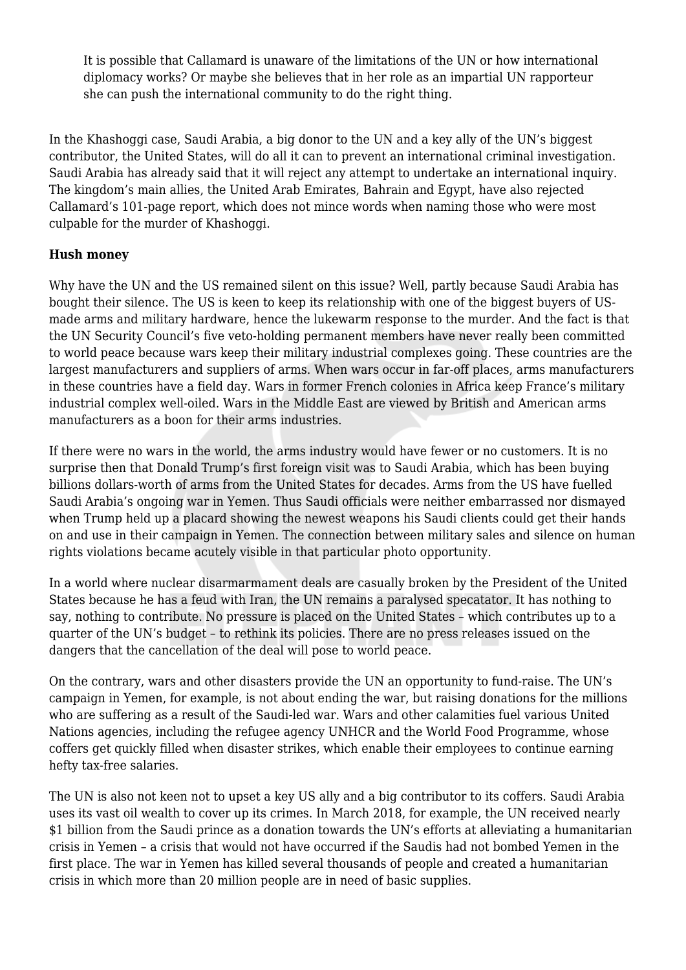It is possible that Callamard is unaware of the limitations of the UN or how international diplomacy works? Or maybe she believes that in her role as an impartial UN rapporteur she can push the international community to do the right thing.

In the Khashoggi case, Saudi Arabia, a big donor to the UN and a key ally of the UN's biggest contributor, the United States, will do all it can to prevent an international criminal investigation. Saudi Arabia has already said that it will reject any attempt to undertake an international inquiry. The kingdom's main allies, the United Arab Emirates, Bahrain and Egypt, have also rejected Callamard's 101-page report, which does not mince words when naming those who were most culpable for the murder of Khashoggi.

## **Hush money**

Why have the UN and the US remained silent on this issue? Well, partly because Saudi Arabia has bought their silence. The US is keen to keep its relationship with one of the biggest buyers of USmade arms and military hardware, hence the lukewarm response to the murder. And the fact is that the UN Security Council's five veto-holding permanent members have never really been committed to world peace because wars keep their military industrial complexes going. These countries are the largest manufacturers and suppliers of arms. When wars occur in far-off places, arms manufacturers in these countries have a field day. Wars in former French colonies in Africa keep France's military industrial complex well-oiled. Wars in the Middle East are viewed by British and American arms manufacturers as a boon for their arms industries.

If there were no wars in the world, the arms industry would have fewer or no customers. It is no surprise then that Donald Trump's first foreign visit was to Saudi Arabia, which has been buying billions dollars-worth of arms from the United States for decades. Arms from the US have fuelled Saudi Arabia's ongoing war in Yemen. Thus Saudi officials were neither embarrassed nor dismayed when Trump held up a placard showing the newest weapons his Saudi clients could get their hands on and use in their campaign in Yemen. The connection between military sales and silence on human rights violations became acutely visible in that particular photo opportunity.

In a world where nuclear disarmarmament deals are casually broken by the President of the United States because he has a feud with Iran, the UN remains a paralysed specatator. It has nothing to say, nothing to contribute. No pressure is placed on the United States – which contributes up to a quarter of the UN's budget – to rethink its policies. There are no press releases issued on the dangers that the cancellation of the deal will pose to world peace.

On the contrary, wars and other disasters provide the UN an opportunity to fund-raise. The UN's campaign in Yemen, for example, is not about ending the war, but raising donations for the millions who are suffering as a result of the Saudi-led war. Wars and other calamities fuel various United Nations agencies, including the refugee agency UNHCR and the World Food Programme, whose coffers get quickly filled when disaster strikes, which enable their employees to continue earning hefty tax-free salaries.

The UN is also not keen not to upset a key US ally and a big contributor to its coffers. Saudi Arabia uses its vast oil wealth to cover up its crimes. In March 2018, for example, the UN received nearly \$1 billion from the Saudi prince as a donation towards the UN's efforts at alleviating a humanitarian crisis in Yemen – a crisis that would not have occurred if the Saudis had not bombed Yemen in the first place. The war in Yemen has killed several thousands of people and created a humanitarian crisis in which more than 20 million people are in need of basic supplies.